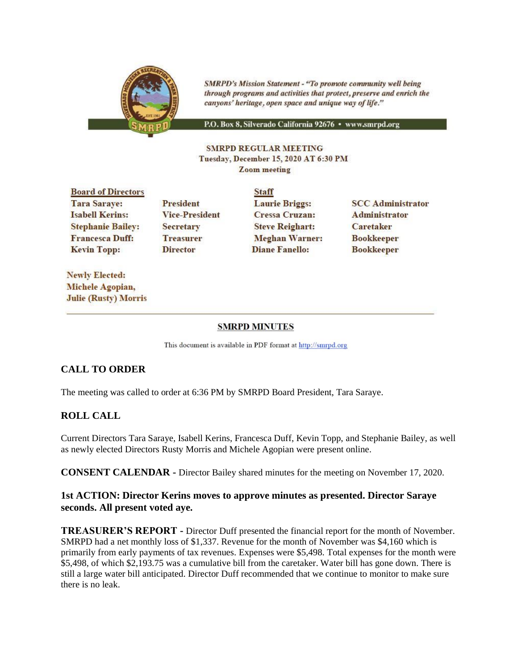

**SMRPD's Mission Statement - "To promote community well being** through programs and activities that protect, preserve and enrich the canyons' heritage, open space and unique way of life."

P.O. Box 8, Silverado California 92676 · www.smrpd.org

#### **SMRPD REGULAR MEETING** Tuesday, December 15, 2020 AT 6:30 PM **Zoom** meeting

**Board of Directors Tara Sarave: Isabell Kerins: Stephanie Bailey: Francesca Duff: Kevin Topp:** 

**Newly Elected:** Michele Agopian, **Julie (Rusty) Morris** 

**President Vice-President Secretary Treasurer Director** 

**Staff Laurie Briggs: Cressa Cruzan: Steve Reighart: Meghan Warner: Diane Fanello:** 

**SCC Administrator Administrator Caretaker Bookkeeper Bookkeeper** 

#### **SMRPD MINUTES**

This document is available in PDF format at http://smrpd.org

## **CALL TO ORDER**

The meeting was called to order at 6:36 PM by SMRPD Board President, Tara Saraye.

## **ROLL CALL**

Current Directors Tara Saraye, Isabell Kerins, Francesca Duff, Kevin Topp, and Stephanie Bailey, as well as newly elected Directors Rusty Morris and Michele Agopian were present online.

**CONSENT CALENDAR -** Director Bailey shared minutes for the meeting on November 17, 2020.

#### **1st ACTION: Director Kerins moves to approve minutes as presented. Director Saraye seconds. All present voted aye.**

**TREASURER'S REPORT -** Director Duff presented the financial report for the month of November. SMRPD had a net monthly loss of \$1,337. Revenue for the month of November was \$4,160 which is primarily from early payments of tax revenues. Expenses were \$5,498. Total expenses for the month were \$5,498, of which \$2,193.75 was a cumulative bill from the caretaker. Water bill has gone down. There is still a large water bill anticipated. Director Duff recommended that we continue to monitor to make sure there is no leak.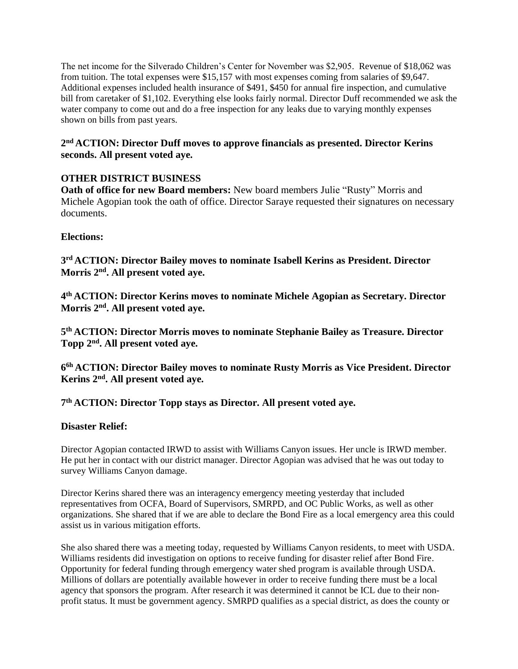The net income for the Silverado Children's Center for November was \$2,905. Revenue of \$18,062 was from tuition. The total expenses were \$15,157 with most expenses coming from salaries of \$9,647. Additional expenses included health insurance of \$491, \$450 for annual fire inspection, and cumulative bill from caretaker of \$1,102. Everything else looks fairly normal. Director Duff recommended we ask the water company to come out and do a free inspection for any leaks due to varying monthly expenses shown on bills from past years.

## **2 nd ACTION: Director Duff moves to approve financials as presented. Director Kerins seconds. All present voted aye.**

## **OTHER DISTRICT BUSINESS**

**Oath of office for new Board members:** New board members Julie "Rusty" Morris and Michele Agopian took the oath of office. Director Saraye requested their signatures on necessary documents.

## **Elections:**

**3 rd ACTION: Director Bailey moves to nominate Isabell Kerins as President. Director Morris 2nd. All present voted aye.** 

**4 th ACTION: Director Kerins moves to nominate Michele Agopian as Secretary. Director Morris 2nd. All present voted aye.** 

**5 th ACTION: Director Morris moves to nominate Stephanie Bailey as Treasure. Director Topp 2nd. All present voted aye.** 

**6 6h ACTION: Director Bailey moves to nominate Rusty Morris as Vice President. Director Kerins 2nd. All present voted aye.** 

## **7 th ACTION: Director Topp stays as Director. All present voted aye.**

## **Disaster Relief:**

Director Agopian contacted IRWD to assist with Williams Canyon issues. Her uncle is IRWD member. He put her in contact with our district manager. Director Agopian was advised that he was out today to survey Williams Canyon damage.

Director Kerins shared there was an interagency emergency meeting yesterday that included representatives from OCFA, Board of Supervisors, SMRPD, and OC Public Works, as well as other organizations. She shared that if we are able to declare the Bond Fire as a local emergency area this could assist us in various mitigation efforts.

She also shared there was a meeting today, requested by Williams Canyon residents, to meet with USDA. Williams residents did investigation on options to receive funding for disaster relief after Bond Fire. Opportunity for federal funding through emergency water shed program is available through USDA. Millions of dollars are potentially available however in order to receive funding there must be a local agency that sponsors the program. After research it was determined it cannot be ICL due to their nonprofit status. It must be government agency. SMRPD qualifies as a special district, as does the county or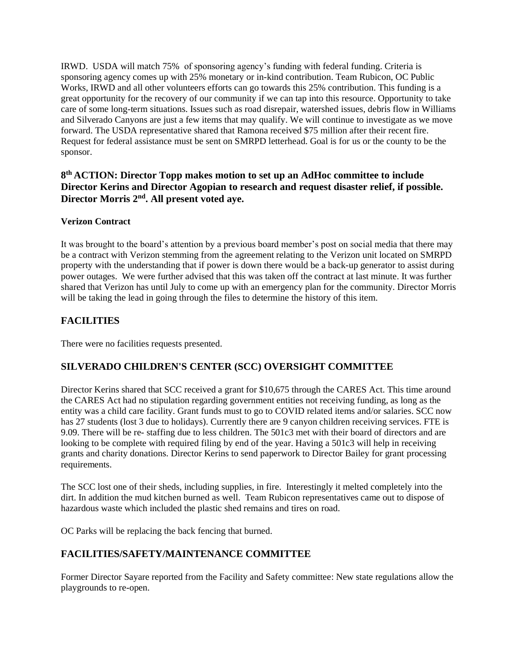IRWD. USDA will match 75% of sponsoring agency's funding with federal funding. Criteria is sponsoring agency comes up with 25% monetary or in-kind contribution. Team Rubicon, OC Public Works, IRWD and all other volunteers efforts can go towards this 25% contribution. This funding is a great opportunity for the recovery of our community if we can tap into this resource. Opportunity to take care of some long-term situations. Issues such as road disrepair, watershed issues, debris flow in Williams and Silverado Canyons are just a few items that may qualify. We will continue to investigate as we move forward. The USDA representative shared that Ramona received \$75 million after their recent fire. Request for federal assistance must be sent on SMRPD letterhead. Goal is for us or the county to be the sponsor.

## **8 th ACTION: Director Topp makes motion to set up an AdHoc committee to include Director Kerins and Director Agopian to research and request disaster relief, if possible. Director Morris 2nd. All present voted aye.**

#### **Verizon Contract**

It was brought to the board's attention by a previous board member's post on social media that there may be a contract with Verizon stemming from the agreement relating to the Verizon unit located on SMRPD property with the understanding that if power is down there would be a back-up generator to assist during power outages. We were further advised that this was taken off the contract at last minute. It was further shared that Verizon has until July to come up with an emergency plan for the community. Director Morris will be taking the lead in going through the files to determine the history of this item.

# **FACILITIES**

There were no facilities requests presented.

## **SILVERADO CHILDREN'S CENTER (SCC) OVERSIGHT COMMITTEE**

Director Kerins shared that SCC received a grant for \$10,675 through the CARES Act. This time around the CARES Act had no stipulation regarding government entities not receiving funding, as long as the entity was a child care facility. Grant funds must to go to COVID related items and/or salaries. SCC now has 27 students (lost 3 due to holidays). Currently there are 9 canyon children receiving services. FTE is 9.09. There will be re- staffing due to less children. The 501c3 met with their board of directors and are looking to be complete with required filing by end of the year. Having a 501c3 will help in receiving grants and charity donations. Director Kerins to send paperwork to Director Bailey for grant processing requirements.

The SCC lost one of their sheds, including supplies, in fire. Interestingly it melted completely into the dirt. In addition the mud kitchen burned as well. Team Rubicon representatives came out to dispose of hazardous waste which included the plastic shed remains and tires on road.

OC Parks will be replacing the back fencing that burned.

## **FACILITIES/SAFETY/MAINTENANCE COMMITTEE**

Former Director Sayare reported from the Facility and Safety committee: New state regulations allow the playgrounds to re-open.